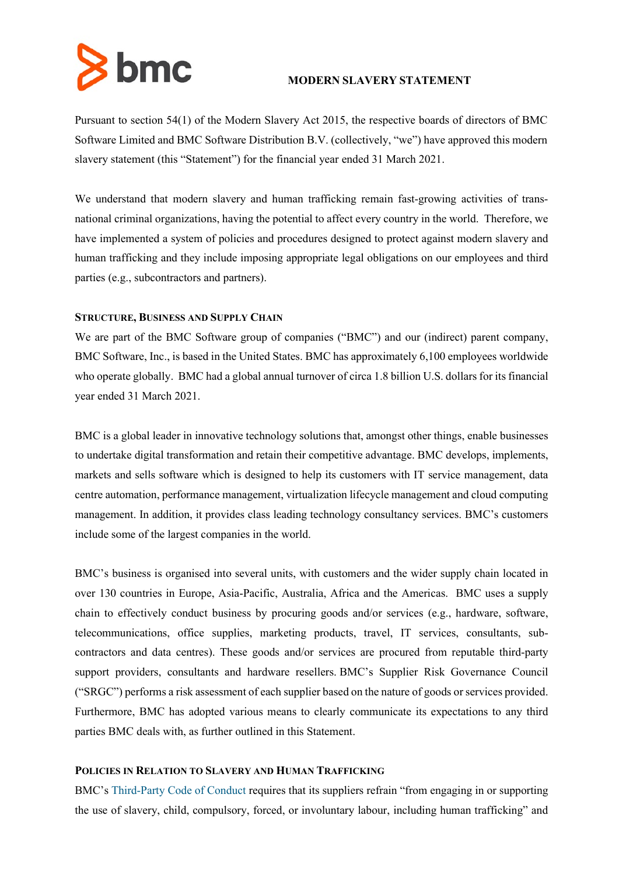

# **MODERN SLAVERY STATEMENT**

Pursuant to section 54(1) of the Modern Slavery Act 2015, the respective boards of directors of BMC Software Limited and BMC Software Distribution B.V. (collectively, "we") have approved this modern slavery statement (this "Statement") for the financial year ended 31 March 2021.

We understand that modern slavery and human trafficking remain fast-growing activities of transnational criminal organizations, having the potential to affect every country in the world. Therefore, we have implemented a system of policies and procedures designed to protect against modern slavery and human trafficking and they include imposing appropriate legal obligations on our employees and third parties (e.g., subcontractors and partners).

# **STRUCTURE, BUSINESS AND SUPPLY CHAIN**

We are part of the BMC Software group of companies ("BMC") and our (indirect) parent company, BMC Software, Inc., is based in the United States. BMC has approximately 6,100 employees worldwide who operate globally. BMC had a global annual turnover of circa 1.8 billion U.S. dollars for its financial year ended 31 March 2021.

BMC is a global leader in innovative technology solutions that, amongst other things, enable businesses to undertake digital transformation and retain their competitive advantage. BMC develops, implements, markets and sells software which is designed to help its customers with IT service management, data centre automation, performance management, virtualization lifecycle management and cloud computing management. In addition, it provides class leading technology consultancy services. BMC's customers include some of the largest companies in the world.

BMC's business is organised into several units, with customers and the wider supply chain located in over 130 countries in Europe, Asia-Pacific, Australia, Africa and the Americas. BMC uses a supply chain to effectively conduct business by procuring goods and/or services (e.g., hardware, software, telecommunications, office supplies, marketing products, travel, IT services, consultants, subcontractors and data centres). These goods and/or services are procured from reputable third-party support providers, consultants and hardware resellers. BMC's Supplier Risk Governance Council ("SRGC") performs a risk assessment of each supplier based on the nature of goods or services provided. Furthermore, BMC has adopted various means to clearly communicate its expectations to any third parties BMC deals with, as further outlined in this Statement.

## **POLICIES IN RELATION TO SLAVERY AND HUMAN TRAFFICKING**

BMC's [Third-Party Code of Conduct](http://media.cms.bmc.com/documents/Third+Party+Code+of+Conduct.pdf) requires that its suppliers refrain "from engaging in or supporting the use of slavery, child, compulsory, forced, or involuntary labour, including human trafficking" and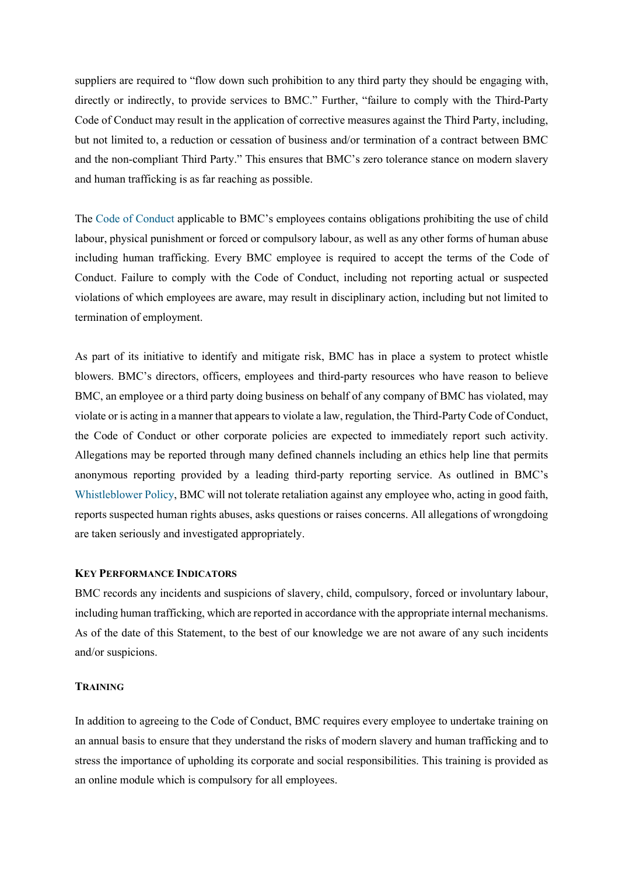suppliers are required to "flow down such prohibition to any third party they should be engaging with, directly or indirectly, to provide services to BMC." Further, "failure to comply with the Third-Party Code of Conduct may result in the application of corrective measures against the Third Party, including, but not limited to, a reduction or cessation of business and/or termination of a contract between BMC and the non-compliant Third Party." This ensures that BMC's zero tolerance stance on modern slavery and human trafficking is as far reaching as possible.

The [Code of Conduct](http://www.bmcsoftware.uk/legal/code-of-conduct.html) applicable to BMC's employees contains obligations prohibiting the use of child labour, physical punishment or forced or compulsory labour, as well as any other forms of human abuse including human trafficking. Every BMC employee is required to accept the terms of the Code of Conduct. Failure to comply with the Code of Conduct, including not reporting actual or suspected violations of which employees are aware, may result in disciplinary action, including but not limited to termination of employment.

As part of its initiative to identify and mitigate risk, BMC has in place a system to protect whistle blowers. BMC's directors, officers, employees and third-party resources who have reason to believe BMC, an employee or a third party doing business on behalf of any company of BMC has violated, may violate or is acting in a manner that appears to violate a law, regulation, the Third-Party Code of Conduct, the Code of Conduct or other corporate policies are expected to immediately report such activity. Allegations may be reported through many defined channels including an ethics help line that permits anonymous reporting provided by a leading third-party reporting service. As outlined in BMC's [Whistleblower Policy,](http://media.cms.bmc.com/documents/Whistleblower+Policy.pdf) BMC will not tolerate retaliation against any employee who, acting in good faith, reports suspected human rights abuses, asks questions or raises concerns. All allegations of wrongdoing are taken seriously and investigated appropriately.

### **KEY PERFORMANCE INDICATORS**

BMC records any incidents and suspicions of slavery, child, compulsory, forced or involuntary labour, including human trafficking, which are reported in accordance with the appropriate internal mechanisms. As of the date of this Statement, to the best of our knowledge we are not aware of any such incidents and/or suspicions.

### **TRAINING**

In addition to agreeing to the Code of Conduct, BMC requires every employee to undertake training on an annual basis to ensure that they understand the risks of modern slavery and human trafficking and to stress the importance of upholding its corporate and social responsibilities. This training is provided as an online module which is compulsory for all employees.